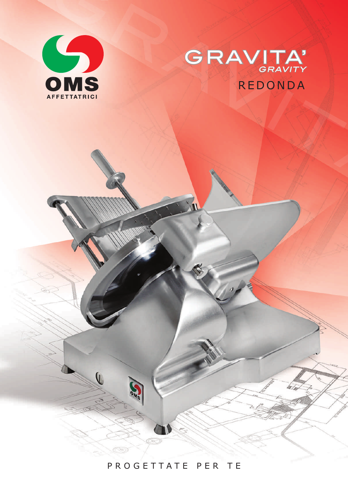

## GRAVITA" REDONDA GRAVITA' GRAVITY

## PROGETTATE PER TE